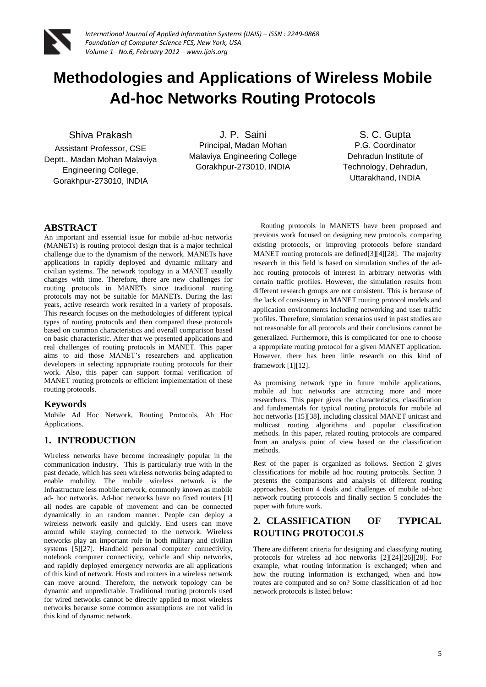

# **Methodologies and Applications of Wireless Mobile Ad-hoc Networks Routing Protocols**

## Shiva Prakash

Assistant Professor, CSE Deptt., Madan Mohan Malaviya Engineering College, Gorakhpur-273010, INDIA

J. P. Saini Principal, Madan Mohan Malaviya Engineering College Gorakhpur-273010, INDIA

S. C. Gupta P.G. Coordinator Dehradun Institute of Technology, Dehradun, Uttarakhand, INDIA

# **ABSTRACT**

An important and essential issue for mobile ad-hoc networks (MANETs) is routing protocol design that is a major technical challenge due to the dynamism of the network. MANETs have applications in rapidly deployed and dynamic military and civilian systems. The network topology in a MANET usually changes with time. Therefore, there are new challenges for routing protocols in MANETs since traditional routing protocols may not be suitable for MANETs. During the last years, active research work resulted in a variety of proposals. This research focuses on the methodologies of different typical types of routing protocols and then compared these protocols based on common characteristics and overall comparison based on basic characteristic. After that we presented applications and real challenges of routing protocols in MANET. This paper aims to aid those MANET's researchers and application developers in selecting appropriate routing protocols for their work. Also, this paper can support formal verification of MANET routing protocols or efficient implementation of these routing protocols.

# **Keywords**

Mobile Ad Hoc Network, Routing Protocols, Ah Hoc Applications.

# **1. INTRODUCTION**

Wireless networks have become increasingly popular in the communication industry. This is particularly true with in the past decade, which has seen wireless networks being adapted to enable mobility. The mobile wireless network is the Infrastructure less mobile network, commonly known as mobile ad- hoc networks. Ad-hoc networks have no fixed routers [1] all nodes are capable of movement and can be connected dynamically in an random manner. People can deploy a wireless network easily and quickly. End users can move around while staying connected to the network. Wireless networks play an important role in both military and civilian systems [5][27]. Handheld personal computer connectivity, notebook computer connectivity, vehicle and ship networks, and rapidly deployed emergency networks are all applications of this kind of network. Hosts and routers in a wireless network can move around. Therefore, the network topology can be dynamic and unpredictable. Traditional routing protocols used for wired networks cannot be directly applied to most wireless networks because some common assumptions are not valid in this kind of dynamic network.

 Routing protocols in MANETS have been proposed and previous work focused on designing new protocols, comparing existing protocols, or improving protocols before standard MANET routing protocols are defined[3][4][28]. The majority research in this field is based on simulation studies of the adhoc routing protocols of interest in arbitrary networks with certain traffic profiles. However, the simulation results from different research groups are not consistent. This is because of the lack of consistency in MANET routing protocol models and application environments including networking and user traffic profiles. Therefore, simulation scenarios used in past studies are not reasonable for all protocols and their conclusions cannot be generalized. Furthermore, this is complicated for one to choose a appropriate routing protocol for a given MANET application. However, there has been little research on this kind of framework [1][12].

As promising network type in future mobile applications, mobile ad hoc networks are attracting more and more researchers. This paper gives the characteristics, classification and fundamentals for typical routing protocols for mobile ad hoc networks [15][38], including classical MANET unicast and multicast routing algorithms and popular classification methods. In this paper, related routing protocols are compared from an analysis point of view based on the classification methods.

Rest of the paper is organized as follows. Section 2 gives classifications for mobile ad hoc routing protocols. Section 3 presents the comparisons and analysis of different routing approaches. Section 4 deals and challenges of mobile ad-hoc network routing protocols and finally section 5 concludes the paper with future work.

# **2. CLASSIFICATION OF TYPICAL ROUTING PROTOCOLS**

There are different criteria for designing and classifying routing protocols for wireless ad hoc networks [2][24][26][28]. For example, what routing information is exchanged; when and how the routing information is exchanged, when and how routes are computed and so on? Some classification of ad hoc network protocols is listed below: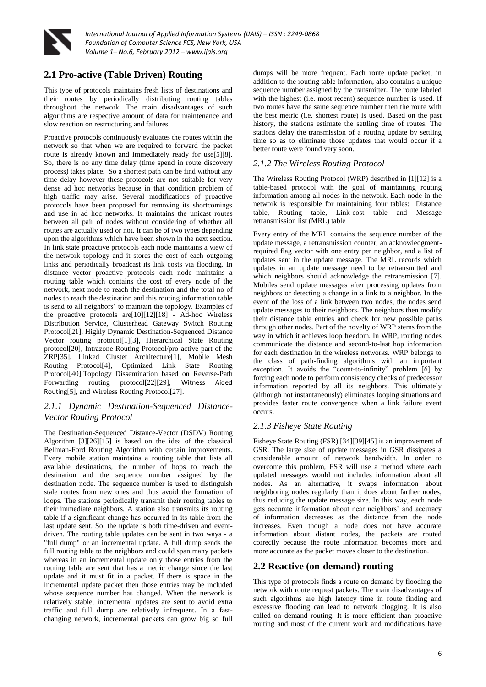

# **2.1 Pro-active (Table Driven) Routing**

This type of protocols maintains fresh lists of destinations and their routes by periodically distributing routing tables throughout the network. The main disadvantages of such algorithms are respective amount of data for maintenance and slow reaction on restructuring and failures.

Proactive protocols continuously evaluates the routes within the network so that when we are required to forward the packet route is already known and immediately ready for use[5][8]. So, there is no any time delay (time spend in route discovery process) takes place. So a shortest path can be find without any time delay however these protocols are not suitable for very dense ad hoc networks because in that condition problem of high traffic may arise. Several modifications of proactive protocols have been proposed for removing its shortcomings and use in ad hoc networks. It maintains the unicast routes between all pair of nodes without considering of whether all routes are actually used or not. It can be of two types depending upon the algorithms which have been shown in the next section. In link state proactive protocols each node maintains a view of the network topology and it stores the cost of each outgoing links and periodically broadcast its link costs via flooding. In distance vector proactive protocols each node maintains a routing table which contains the cost of every node of the network, next node to reach the destination and the total no of nodes to reach the destination and this routing information table is send to all neighbors' to maintain the topology. Examples of the proactive protocols are[10][12][18] - Ad-hoc Wireless Distribution Service, Clusterhead Gateway Switch Routing Protocol[21], Highly Dynamic Destination-Sequenced Distance Vector routing protocol[1][3], Hierarchical State Routing protocol[20], Intrazone Routing Protocol/pro-active part of the ZRP[35], Linked Cluster Architecture[1], Mobile Mesh Routing Protocol[4], Optimized Link State Routing Protocol[40],Topology Dissemination based on Reverse-Path Forwarding routing protocol[22][29], [Witness Aided](http://en.wikipedia.org/w/index.php?title=WAR_%28Witness_Aided_Routing%29&action=edit&redlink=1)  [Routing](http://en.wikipedia.org/w/index.php?title=WAR_%28Witness_Aided_Routing%29&action=edit&redlink=1)[5], and Wireless Routing Protocol[27].

## *2.1.1 Dynamic Destination-Sequenced Distance-Vector Routing Protocol*

The Destination-Sequenced Distance-Vector (DSDV) Routing Algorithm [3][26][15] is based on the idea of the classical Bellman-Ford Routing Algorithm with certain improvements. Every mobile station maintains a routing table that lists all available destinations, the number of hops to reach the destination and the sequence number assigned by the destination node. The sequence number is used to distinguish stale routes from new ones and thus avoid the formation of loops. The stations periodically transmit their routing tables to their immediate neighbors. A station also transmits its routing table if a significant change has occurred in its table from the last update sent. So, the update is both time-driven and eventdriven. The routing table updates can be sent in two ways - a "full dump" or an incremental update. A full dump sends the full routing table to the neighbors and could span many packets whereas in an incremental update only those entries from the routing table are sent that has a metric change since the last update and it must fit in a packet. If there is space in the incremental update packet then those entries may be included whose sequence number has changed. When the network is relatively stable, incremental updates are sent to avoid extra traffic and full dump are relatively infrequent. In a fastchanging network, incremental packets can grow big so full

dumps will be more frequent. Each route update packet, in addition to the routing table information, also contains a unique sequence number assigned by the transmitter. The route labeled with the highest (i.e. most recent) sequence number is used. If two routes have the same sequence number then the route with the best metric (i.e. shortest route) is used. Based on the past history, the stations estimate the settling time of routes. The stations delay the transmission of a routing update by settling time so as to eliminate those updates that would occur if a better route were found very soon.

## *2.1.2 The Wireless Routing Protocol*

The Wireless Routing Protocol (WRP) described in [1][12] is a table-based protocol with the goal of maintaining routing information among all nodes in the network. Each node in the network is responsible for maintaining four tables: Distance table, Routing table, Link-cost table and Message retransmission list (MRL) table

Every entry of the MRL contains the sequence number of the update message, a retransmission counter, an acknowledgmentrequired flag vector with one entry per neighbor, and a list of updates sent in the update message. The MRL records which updates in an update message need to be retransmitted and which neighbors should acknowledge the retransmission [7]. Mobiles send update messages after processing updates from neighbors or detecting a change in a link to a neighbor. In the event of the loss of a link between two nodes, the nodes send update messages to their neighbors. The neighbors then modify their distance table entries and check for new possible paths through other nodes. Part of the novelty of WRP stems from the way in which it achieves loop freedom. In WRP, routing nodes communicate the distance and second-to-last hop information for each destination in the wireless networks. WRP belongs to the class of path-finding algorithms with an important exception. It avoids the "count-to-infinity" problem  $[6]$  by forcing each node to perform consistency checks of predecessor information reported by all its neighbors. This ultimately (although not instantaneously) eliminates looping situations and provides faster route convergence when a link failure event occurs.

## *2.1.3 Fisheye State Routing*

Fisheye State Routing (FSR) [34][39][45] is an improvement of GSR. The large size of update messages in GSR dissipates a considerable amount of network bandwidth. In order to overcome this problem, FSR will use a method where each updated messages would not includes information about all nodes. As an alternative, it swaps information about neighboring nodes regularly than it does about farther nodes, thus reducing the update message size. In this way, each node gets accurate information about near neighbors' and accuracy of information decreases as the distance from the node increases. Even though a node does not have accurate information about distant nodes, the packets are routed correctly because the route information becomes more and more accurate as the packet moves closer to the destination.

# **2.2 [Reactive \(on-demand\) routing](http://en.wikipedia.org/wiki/List_of_ad-hoc_routing_protocols#Reactive_.28on-demand.29_routing)**

This type of protocols finds a route on demand by flooding the network with route request packets. The main disadvantages of such algorithms are high latency time in route finding and excessive flooding can lead to network clogging. It is also called on demand routing. It is more efficient than proactive routing and most of the current work and modifications have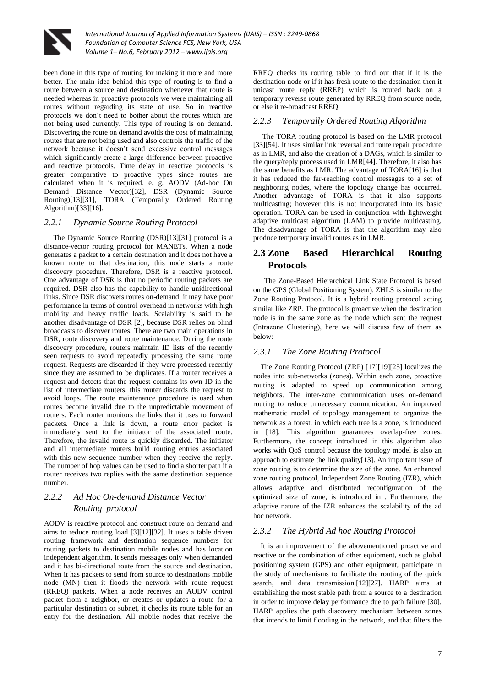

been done in this type of routing for making it more and more better. The main idea behind this type of routing is to find a route between a source and destination whenever that route is needed whereas in proactive protocols we were maintaining all routes without regarding its state of use. So in reactive protocols we don't need to bother about the routes which are not being used currently. This type of routing is on demand. Discovering the route on demand avoids the cost of maintaining routes that are not being used and also controls the traffic of the network because it doesn't send excessive control messages which significantly create a large difference between proactive and reactive protocols. Time delay in reactive protocols is greater comparative to proactive types since routes are calculated when it is required. e. g. AODV (Ad-hoc On Demand Distance Vector)[32], DSR (Dynamic Source Routing)[13][31], TORA (Temporally Ordered Routing Algorithm)[33][16].

#### *2.2.1 Dynamic Source Routing Protocol*

 The Dynamic Source Routing (DSR)[13][31] protocol is a distance-vector routing protocol for MANETs. When a node generates a packet to a certain destination and it does not have a known route to that destination, this node starts a route discovery procedure. Therefore, DSR is a reactive protocol. One advantage of DSR is that no periodic routing packets are required. DSR also has the capability to handle unidirectional links. Since DSR discovers routes on-demand, it may have poor performance in terms of control overhead in networks with high mobility and heavy traffic loads. Scalability is said to be another disadvantage of DSR [2], because DSR relies on blind broadcasts to discover routes. There are two main operations in DSR, route discovery and route maintenance. During the route discovery procedure, routers maintain ID lists of the recently seen requests to avoid repeatedly processing the same route request. Requests are discarded if they were processed recently since they are assumed to be duplicates. If a router receives a request and detects that the request contains its own ID in the list of intermediate routers, this router discards the request to avoid loops. The route maintenance procedure is used when routes become invalid due to the unpredictable movement of routers. Each router monitors the links that it uses to forward packets. Once a link is down, a route error packet is immediately sent to the initiator of the associated route. Therefore, the invalid route is quickly discarded. The initiator and all intermediate routers build routing entries associated with this new sequence number when they receive the reply. The number of hop values can be used to find a shorter path if a router receives two replies with the same destination sequence number.

## *2.2.2 Ad Hoc On-demand Distance Vector Routing protocol*

AODV is reactive protocol and construct route on demand and aims to reduce routing load [3][12][32]. It uses a table driven routing framework and destination sequence numbers for routing packets to destination mobile nodes and has location independent algorithm. It sends messages only when demanded and it has bi-directional route from the source and destination. When it has packets to send from source to destinations mobile node (MN) then it floods the network with route request (RREQ) packets. When a node receives an AODV control packet from a neighbor, or creates or updates a route for a particular destination or subnet, it checks its route table for an entry for the destination. All mobile nodes that receive the RREQ checks its routing table to find out that if it is the destination node or if it has fresh route to the destination then it unicast route reply (RREP) which is routed back on a temporary reverse route generated by RREQ from source node, or else it re-broadcast RREQ.

#### *2.2.3 Temporally Ordered Routing Algorithm*

 The TORA routing protocol is based on the LMR protocol [33][54]. It uses similar link reversal and route repair procedure as in LMR, and also the creation of a DAGs, which is similar to the query/reply process used in LMR[44]. Therefore, it also has the same benefits as LMR. The advantage of TORA[16] is that it has reduced the far-reaching control messages to a set of neighboring nodes, where the topology change has occurred. Another advantage of TORA is that it also supports multicasting; however this is not incorporated into its basic operation. TORA can be used in conjunction with lightweight adaptive multicast algorithm (LAM) to provide multicasting. The disadvantage of TORA is that the algorithm may also produce temporary invalid routes as in LMR.

# **2.3 Zone Based Hierarchical Routing Protocols**

 The Zone-Based Hierarchical Link State Protocol is based on the GPS (Global Positioning System). ZHLS is similar to the [Zone Routing Protocol.](http://wiki.uni.lu/secan-lab/Zone+Routing+Protocol.html) It is a hybrid routing protocol acting similar like ZRP. The protocol is proactive when the destination node is in the same zone as the node which sent the request (Intrazone Clustering), here we will discuss few of them as below:

#### *2.3.1 The Zone Routing Protocol*

 The Zone Routing Protocol (ZRP) [17][19][25] localizes the nodes into sub-networks (zones). Within each zone, proactive routing is adapted to speed up communication among neighbors. The inter-zone communication uses on-demand routing to reduce unnecessary communication. An improved mathematic model of topology management to organize the network as a forest, in which each tree is a zone, is introduced in [18]. This algorithm guarantees overlap-free zones. Furthermore, the concept introduced in this algorithm also works with QoS control because the topology model is also an approach to estimate the link quality[13]. An important issue of zone routing is to determine the size of the zone. An enhanced zone routing protocol, Independent Zone Routing (IZR), which allows adaptive and distributed reconfiguration of the optimized size of zone, is introduced in . Furthermore, the adaptive nature of the IZR enhances the scalability of the ad hoc network.

#### *2.3.2 The Hybrid Ad hoc Routing Protocol*

 It is an improvement of the abovementioned proactive and reactive or the combination of other equipment, such as global positioning system (GPS) and other equipment, participate in the study of mechanisms to facilitate the routing of the quick search, and data transmission.[12][27]. HARP aims at establishing the most stable path from a source to a destination in order to improve delay performance due to path failure [30]. HARP applies the path discovery mechanism between zones that intends to limit flooding in the network, and that filters the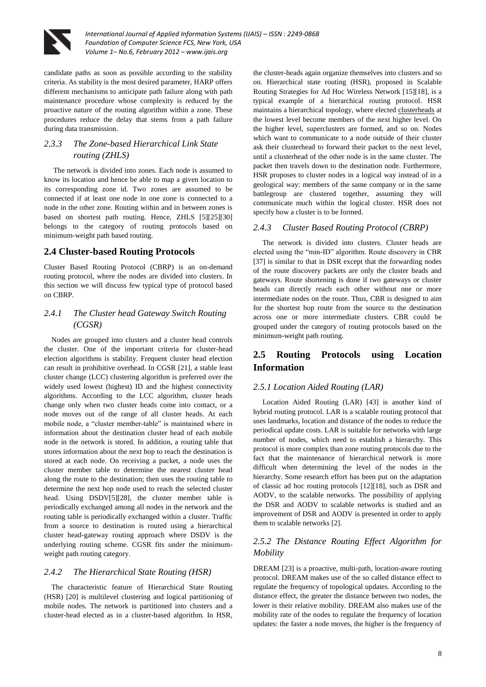

candidate paths as soon as possible according to the stability criteria. As stability is the most desired parameter, HARP offers different mechanisms to anticipate path failure along with path maintenance procedure whose complexity is reduced by the proactive nature of the routing algorithm within a zone. These procedures reduce the delay that stems from a path failure during data transmission.

## *2.3.3 The Zone-based Hierarchical Link State routing (ZHLS)*

 The network is divided into zones. Each node is assumed to know its location and hence be able to map a given location to its corresponding zone id. Two zones are assumed to be connected if at least one node in one zone is connected to a node in the other zone. Routing within and in between zones is based on shortest path routing. Hence, ZHLS [5][25][30] belongs to the category of routing protocols based on minimum-weight path based routing.

# **2.4 Cluster-based Routing Protocols**

Cluster Based Routing Protocol (CBRP) is an on-demand routing protocol, where the nodes are divided into clusters. In this section we will discuss few typical type of protocol based on CBRP.

## *2.4.1 The Cluster head Gateway Switch Routing (CGSR)*

 Nodes are grouped into clusters and a cluster head controls the cluster. One of the important criteria for cluster-head election algorithms is stability. Frequent cluster head election can result in prohibitive overhead. In CGSR [21], a stable least cluster change (LCC) clustering algorithm is preferred over the widely used lowest (highest) ID and the highest connectivity algorithms. According to the LCC algorithm, cluster heads change only when two cluster heads come into contact, or a node moves out of the range of all cluster heads. At each mobile node, a "cluster member-table" is maintained where in information about the destination cluster head of each mobile node in the network is stored. In addition, a routing table that stores information about the next hop to reach the destination is stored at each node. On receiving a packet, a node uses the cluster member table to determine the nearest cluster head along the route to the destination; then uses the routing table to determine the next hop node used to reach the selected cluster head. Using DSDV[5][28], the cluster member table is periodically exchanged among all nodes in the network and the routing table is periodically exchanged within a cluster. Traffic from a source to destination is routed using a hierarchical cluster head-gateway routing approach where DSDV is the underlying routing scheme. CGSR fits under the minimumweight path routing category.

#### *2.4.2 The Hierarchical State Routing (HSR)*

 The characteristic feature of Hierarchical State Routing (HSR) [20] is multilevel clustering and logical partitioning of mobile nodes. The network is partitioned into clusters and a cluster-head elected as in a cluster-based algorithm. In HSR, the cluster-heads again organize themselves into clusters and so on. Hierarchical state routing (HSR), proposed in Scalable Routing Strategies for Ad Hoc Wireless Network [15][18], is a typical example of a [hierarchical](http://en.wikipedia.org/wiki/Hierarchical_routing) [routing protocol.](http://en.wikipedia.org/wiki/Routing_protocol) HSR maintains a hierarchical [topology,](http://en.wikipedia.org/wiki/Network_topology) where elected [clusterheads](http://en.wikipedia.org/w/index.php?title=Clusterhead&action=edit&redlink=1) at the lowest level become members of the next higher level. On the higher level, superclusters are formed, and so on. [Nodes](http://en.wikipedia.org/wiki/Node_%28networking%29) which want to communicate to a node outside of their [cluster](http://en.wikipedia.org/wiki/Cluster_%28computing%29) ask their clusterhead to forward their packet to the next level, until a clusterhead of the other node is in the same cluster. The packet then travels down to the destination node. Furthermore, HSR proposes to cluster nodes in a logical way instead of in a geological way: members of the same company or in the same battlegroup are clustered together, assuming they will communicate much within the logical cluster. HSR does not specify how a cluster is to be formed.

#### *2.4.3 Cluster Based Routing Protocol (CBRP)*

 The network is divided into clusters. Cluster heads are elected using the "min-ID" algorithm. Route discovery in CBR [37] is similar to that in DSR except that the forwarding nodes of the route discovery packets are only the cluster heads and gateways. Route shortening is done if two gateways or cluster heads can directly reach each other without one or more intermediate nodes on the route. Thus, CBR is designed to aim for the shortest hop route from the source to the destination across one or more intermediate clusters. CBR could be grouped under the category of routing protocols based on the minimum-weight path routing.

# **2.5 Routing Protocols using Location Information**

## *2.5.1 Location Aided Routing (LAR)*

Location Aided Routing (LAR) [43] is another kind of hybrid routing protocol. LAR is a scalable routing protocol that uses landmarks, location and distance of the nodes to reduce the periodical update costs. LAR is suitable for networks with large number of nodes, which need to establish a hierarchy. This protocol is more complex than zone routing protocols due to the fact that the maintenance of hierarchical network is more difficult when determining the level of the nodes in the hierarchy. Some research effort has been put on the adaptation of classic ad hoc routing protocols [12][18], such as DSR and AODV, to the scalable networks. The possibility of applying the DSR and AODV to scalable networks is studied and an improvement of DSR and AODV is presented in order to apply them to scalable networks [2].

## *2.5.2 The Distance Routing Effect Algorithm for Mobility*

DREAM [23] is a proactive, multi-path, location-aware routing protocol. DREAM makes use of the so called distance effect to regulate the frequency of topological updates. According to the distance effect, the greater the distance between two nodes, the lower is their relative mobility. DREAM also makes use of the mobility rate of the nodes to regulate the frequency of location updates: the faster a node moves, the higher is the frequency of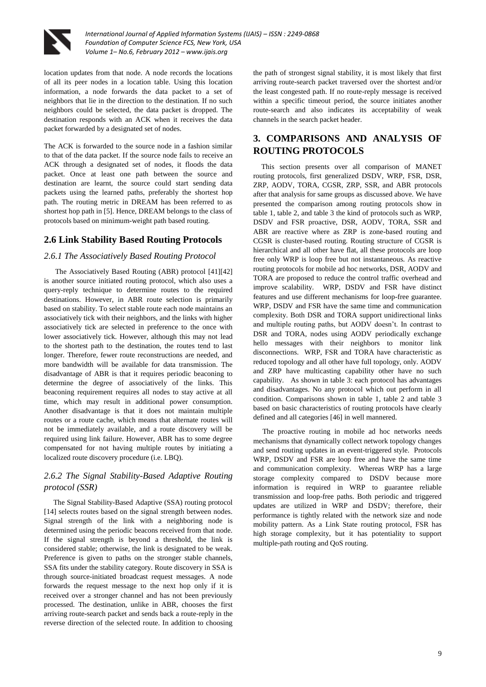

location updates from that node. A node records the locations of all its peer nodes in a location table. Using this location information, a node forwards the data packet to a set of neighbors that lie in the direction to the destination. If no such neighbors could be selected, the data packet is dropped. The destination responds with an ACK when it receives the data packet forwarded by a designated set of nodes.

The ACK is forwarded to the source node in a fashion similar to that of the data packet. If the source node fails to receive an ACK through a designated set of nodes, it floods the data packet. Once at least one path between the source and destination are learnt, the source could start sending data packets using the learned paths, preferably the shortest hop path. The routing metric in DREAM has been referred to as shortest hop path in [5]. Hence, DREAM belongs to the class of protocols based on minimum-weight path based routing.

### **2.6 Link Stability Based Routing Protocols**

#### *2.6.1 The Associatively Based Routing Protocol*

 The Associatively Based Routing (ABR) protocol [41][42] is another source initiated routing protocol, which also uses a query-reply technique to determine routes to the required destinations. However, in ABR route selection is primarily based on stability. To select stable route each node maintains an associatively tick with their neighbors, and the links with higher associatively tick are selected in preference to the once with lower associatively tick. However, although this may not lead to the shortest path to the destination, the routes tend to last longer. Therefore, fewer route reconstructions are needed, and more bandwidth will be available for data transmission. The disadvantage of ABR is that it requires periodic beaconing to determine the degree of associatively of the links. This beaconing requirement requires all nodes to stay active at all time, which may result in additional power consumption. Another disadvantage is that it does not maintain multiple routes or a route cache, which means that alternate routes will not be immediately available, and a route discovery will be required using link failure. However, ABR has to some degree compensated for not having multiple routes by initiating a localized route discovery procedure (i.e. LBQ).

## *2.6.2 The Signal Stability-Based Adaptive Routing protocol (SSR)*

 The Signal Stability-Based Adaptive (SSA) routing protocol [14] selects routes based on the signal strength between nodes. Signal strength of the link with a neighboring node is determined using the periodic beacons received from that node. If the signal strength is beyond a threshold, the link is considered stable; otherwise, the link is designated to be weak. Preference is given to paths on the stronger stable channels, SSA fits under the stability category. Route discovery in SSA is through source-initiated broadcast request messages. A node forwards the request message to the next hop only if it is received over a stronger channel and has not been previously processed. The destination, unlike in ABR, chooses the first arriving route-search packet and sends back a route-reply in the reverse direction of the selected route. In addition to choosing

the path of strongest signal stability, it is most likely that first arriving route-search packet traversed over the shortest and/or the least congested path. If no route-reply message is received within a specific timeout period, the source initiates another route-search and also indicates its acceptability of weak channels in the search packet header.

# **3. COMPARISONS AND ANALYSIS OF ROUTING PROTOCOLS**

 This section presents over all comparison of MANET routing protocols, first generalized DSDV, WRP, FSR, DSR, ZRP, AODV, TORA, CGSR, ZRP, SSR, and ABR protocols after that analysis for same groups as discussed above. We have presented the comparison among routing protocols show in table 1, table 2, and table 3 the kind of protocols such as WRP, DSDV and FSR proactive, DSR, AODV, TORA, SSR and ABR are reactive where as ZRP is zone-based routing and CGSR is cluster-based routing. Routing structure of CGSR is hierarchical and all other have flat, all these protocols are loop free only WRP is loop free but not instantaneous. As reactive routing protocols for mobile ad hoc networks, DSR, AODV and TORA are proposed to reduce the control traffic overhead and improve scalability. WRP, DSDV and FSR have distinct features and use different mechanisms for loop-free guarantee. WRP, DSDV and FSR have the same time and communication complexity. Both DSR and TORA support unidirectional links and multiple routing paths, but AODV doesn't. In contrast to DSR and TORA, nodes using AODV periodically exchange hello messages with their neighbors to monitor link disconnections. WRP, FSR and TORA have characteristic as reduced topology and all other have full topology, only. AODV and ZRP have multicasting capability other have no such capability. As shown in table 3: each protocol has advantages and disadvantages. No any protocol which out perform in all condition. Comparisons shown in table 1, table 2 and table 3 based on basic characteristics of routing protocols have clearly defined and all categories [46] in well mannered.

 The proactive routing in mobile ad hoc networks needs mechanisms that dynamically collect network topology changes and send routing updates in an event-triggered style. Protocols WRP, DSDV and FSR are loop free and have the same time and communication complexity. Whereas WRP has a large storage complexity compared to DSDV because more information is required in WRP to guarantee reliable transmission and loop-free paths. Both periodic and triggered updates are utilized in WRP and DSDV; therefore, their performance is tightly related with the network size and node mobility pattern. As a Link State routing protocol, FSR has high storage complexity, but it has potentiality to support multiple-path routing and QoS routing.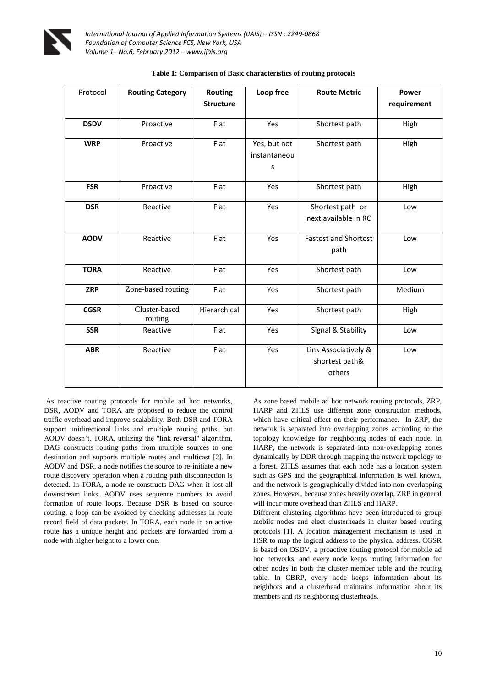

| Protocol    | <b>Routing Category</b>  | <b>Routing</b>   | Loop free                         | <b>Route Metric</b>                              | Power       |
|-------------|--------------------------|------------------|-----------------------------------|--------------------------------------------------|-------------|
|             |                          | <b>Structure</b> |                                   |                                                  | requirement |
| <b>DSDV</b> | Proactive                | Flat             | Yes                               | Shortest path                                    | High        |
| <b>WRP</b>  | Proactive                | Flat             | Yes, but not<br>instantaneou<br>S | Shortest path                                    | High        |
| <b>FSR</b>  | Proactive                | Flat             | Yes                               | Shortest path                                    | High        |
| <b>DSR</b>  | Reactive                 | Flat             | Yes                               | Shortest path or<br>next available in RC         | Low         |
| <b>AODV</b> | Reactive                 | Flat             | Yes                               | <b>Fastest and Shortest</b><br>path              | Low         |
| <b>TORA</b> | Reactive                 | Flat             | Yes                               | Shortest path                                    | Low         |
| <b>ZRP</b>  | Zone-based routing       | Flat             | Yes                               | Shortest path                                    | Medium      |
| <b>CGSR</b> | Cluster-based<br>routing | Hierarchical     | Yes                               | Shortest path                                    | High        |
| <b>SSR</b>  | Reactive                 | Flat             | Yes                               | Signal & Stability                               | Low         |
| <b>ABR</b>  | Reactive                 | Flat             | Yes                               | Link Associatively &<br>shortest path&<br>others | Low         |

| Table 1: Comparison of Basic characteristics of routing protocols |  |
|-------------------------------------------------------------------|--|
|-------------------------------------------------------------------|--|

As reactive routing protocols for mobile ad hoc networks, DSR, AODV and TORA are proposed to reduce the control traffic overhead and improve scalability. Both DSR and TORA support unidirectional links and multiple routing paths, but AODV doesn't. TORA, utilizing the "link reversal" algorithm, DAG constructs routing paths from multiple sources to one destination and supports multiple routes and multicast [2]. In AODV and DSR, a node notifies the source to re-initiate a new route discovery operation when a routing path disconnection is detected. In TORA, a node re-constructs DAG when it lost all downstream links. AODV uses sequence numbers to avoid formation of route loops. Because DSR is based on source routing, a loop can be avoided by checking addresses in route record field of data packets. In TORA, each node in an active route has a unique height and packets are forwarded from a node with higher height to a lower one.

As zone based mobile ad hoc network routing protocols, ZRP, HARP and ZHLS use different zone construction methods, which have critical effect on their performance. In ZRP, the network is separated into overlapping zones according to the topology knowledge for neighboring nodes of each node. In HARP, the network is separated into non-overlapping zones dynamically by DDR through mapping the network topology to a forest. ZHLS assumes that each node has a location system such as GPS and the geographical information is well known, and the network is geographically divided into non-overlapping zones. However, because zones heavily overlap, ZRP in general will incur more overhead than ZHLS and HARP.

Different clustering algorithms have been introduced to group mobile nodes and elect clusterheads in cluster based routing protocols [1]. A location management mechanism is used in HSR to map the logical address to the physical address. CGSR is based on DSDV, a proactive routing protocol for mobile ad hoc networks, and every node keeps routing information for other nodes in both the cluster member table and the routing table. In CBRP, every node keeps information about its neighbors and a clusterhead maintains information about its members and its neighboring clusterheads.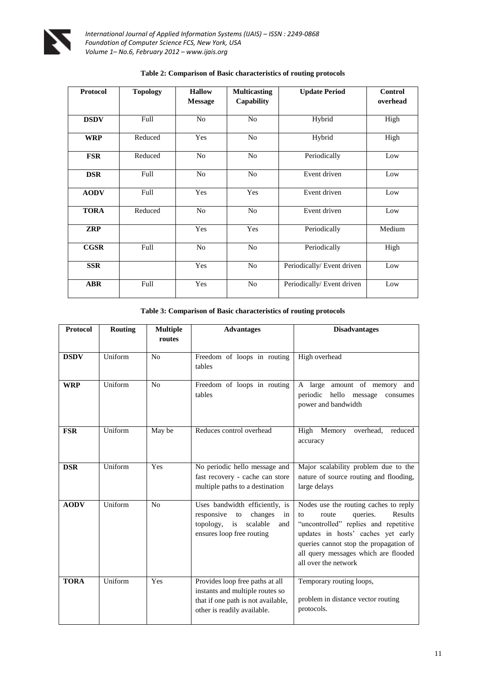

| <b>Protocol</b> | <b>Topology</b> | <b>Hallow</b>  | <b>Multicasting</b> | <b>Update Period</b>       | <b>Control</b> |
|-----------------|-----------------|----------------|---------------------|----------------------------|----------------|
|                 |                 | <b>Message</b> | Capability          |                            | overhead       |
| <b>DSDV</b>     | Full            | N <sub>o</sub> | N <sub>o</sub>      | Hybrid                     | High           |
| <b>WRP</b>      | Reduced         | Yes            | $\rm No$            | Hybrid                     | High           |
| <b>FSR</b>      | Reduced         | N <sub>0</sub> | N <sub>0</sub>      | Periodically               | Low            |
| <b>DSR</b>      | Full            | N <sub>o</sub> | No                  | Event driven               | Low            |
| <b>AODV</b>     | Full            | Yes            | Yes                 | Event driven               | Low            |
| <b>TORA</b>     | Reduced         | N <sub>o</sub> | No                  | Event driven               | Low            |
| <b>ZRP</b>      |                 | Yes            | Yes                 | Periodically               | Medium         |
| <b>CGSR</b>     | Full            | N <sub>o</sub> | No                  | Periodically               | High           |
| <b>SSR</b>      |                 | Yes            | No                  | Periodically/ Event driven | Low            |
| <b>ABR</b>      | Full            | Yes            | N <sub>o</sub>      | Periodically/ Event driven | Low            |

## **Table 2: Comparison of Basic characteristics of routing protocols**

| Table 3: Comparison of Basic characteristics of routing protocols |  |  |
|-------------------------------------------------------------------|--|--|
|                                                                   |  |  |

| <b>Protocol</b> | <b>Routing</b> | <b>Multiple</b><br>routes | <b>Advantages</b>                                                                                                                       | <b>Disadvantages</b>                                                                                                                                                                                                                                                 |
|-----------------|----------------|---------------------------|-----------------------------------------------------------------------------------------------------------------------------------------|----------------------------------------------------------------------------------------------------------------------------------------------------------------------------------------------------------------------------------------------------------------------|
| <b>DSDV</b>     | Uniform        | No                        | Freedom of loops in routing<br>tables                                                                                                   | High overhead                                                                                                                                                                                                                                                        |
| <b>WRP</b>      | Uniform        | N <sub>o</sub>            | Freedom of loops in routing<br>tables                                                                                                   | A large amount of memory and<br>periodic hello message<br>consumes<br>power and bandwidth                                                                                                                                                                            |
| <b>FSR</b>      | Uniform        | May be                    | Reduces control overhead                                                                                                                | High Memory<br>overhead,<br>reduced<br>accuracy                                                                                                                                                                                                                      |
| <b>DSR</b>      | Uniform        | Yes                       | No periodic hello message and<br>fast recovery - cache can store<br>multiple paths to a destination                                     | Major scalability problem due to the<br>nature of source routing and flooding,<br>large delays                                                                                                                                                                       |
| <b>AODV</b>     | Uniform        | No                        | Uses bandwidth efficiently, is<br>responsive<br>changes<br>to<br>in<br>topology,<br>scalable<br>is<br>and<br>ensures loop free routing  | Nodes use the routing caches to reply<br>queries.<br>Results<br>route<br>to<br>"uncontrolled" replies and repetitive<br>updates in hosts' caches yet early<br>queries cannot stop the propagation of<br>all query messages which are flooded<br>all over the network |
| <b>TORA</b>     | Uniform        | Yes                       | Provides loop free paths at all<br>instants and multiple routes so<br>that if one path is not available,<br>other is readily available. | Temporary routing loops,<br>problem in distance vector routing<br>protocols.                                                                                                                                                                                         |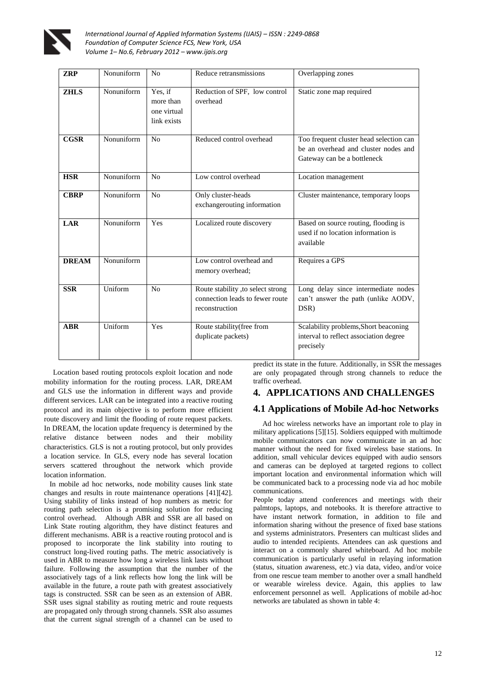

| <b>ZRP</b>   | Nonuniform | N <sub>0</sub>                                     | Reduce retransmissions                                                                 | Overlapping zones                                                                                              |
|--------------|------------|----------------------------------------------------|----------------------------------------------------------------------------------------|----------------------------------------------------------------------------------------------------------------|
| <b>ZHLS</b>  | Nonuniform | Yes, if<br>more than<br>one virtual<br>link exists | Reduction of SPF, low control<br>overhead                                              | Static zone map required                                                                                       |
| <b>CGSR</b>  | Nonuniform | No                                                 | Reduced control overhead                                                               | Too frequent cluster head selection can<br>be an overhead and cluster nodes and<br>Gateway can be a bottleneck |
| <b>HSR</b>   | Nonuniform | No                                                 | Low control overhead                                                                   | Location management                                                                                            |
| <b>CBRP</b>  | Nonuniform | No                                                 | Only cluster-heads<br>exchangerouting information                                      | Cluster maintenance, temporary loops                                                                           |
| <b>LAR</b>   | Nonuniform | Yes                                                | Localized route discovery                                                              | Based on source routing, flooding is<br>used if no location information is<br>available                        |
| <b>DREAM</b> | Nonuniform |                                                    | Low control overhead and<br>memory overhead;                                           | Requires a GPS                                                                                                 |
| <b>SSR</b>   | Uniform    | N <sub>0</sub>                                     | Route stability ,to select strong<br>connection leads to fewer route<br>reconstruction | Long delay since intermediate nodes<br>can't answer the path (unlike AODV,<br>DSR)                             |
| <b>ABR</b>   | Uniform    | Yes                                                | Route stability(free from<br>duplicate packets)                                        | Scalability problems, Short beaconing<br>interval to reflect association degree<br>precisely                   |

Location based routing protocols exploit location and node mobility information for the routing process. LAR, DREAM and GLS use the information in different ways and provide different services. LAR can be integrated into a reactive routing protocol and its main objective is to perform more efficient route discovery and limit the flooding of route request packets. In DREAM, the location update frequency is determined by the relative distance between nodes and their mobility characteristics. GLS is not a routing protocol, but only provides a location service. In GLS, every node has several location servers scattered throughout the network which provide location information.

 In mobile ad hoc networks, node mobility causes link state changes and results in route maintenance operations [41][42]. Using stability of links instead of hop numbers as metric for routing path selection is a promising solution for reducing control overhead. Although ABR and SSR are all based on Link State routing algorithm, they have distinct features and different mechanisms. ABR is a reactive routing protocol and is proposed to incorporate the link stability into routing to construct long-lived routing paths. The metric associatively is used in ABR to measure how long a wireless link lasts without failure. Following the assumption that the number of the associatively tags of a link reflects how long the link will be available in the future, a route path with greatest associatively tags is constructed. SSR can be seen as an extension of ABR. SSR uses signal stability as routing metric and route requests are propagated only through strong channels. SSR also assumes that the current signal strength of a channel can be used to predict its state in the future. Additionally, in SSR the messages are only propagated through strong channels to reduce the traffic overhead.

## **4. APPLICATIONS AND CHALLENGES**

# **4.1 Applications of Mobile Ad-hoc Networks**

 Ad hoc wireless networks have an important role to play in military applications [5][15]. Soldiers equipped with multimode mobile communicators can now communicate in an ad hoc manner without the need for fixed wireless base stations. In addition, small vehicular devices equipped with audio sensors and cameras can be deployed at targeted regions to collect important location and environmental information which will be communicated back to a processing node via ad hoc mobile communications.

People today attend conferences and meetings with their palmtops, laptops, and notebooks. It is therefore attractive to have instant network formation, in addition to file and information sharing without the presence of fixed base stations and systems administrators. Presenters can multicast slides and audio to intended recipients. Attendees can ask questions and interact on a commonly shared whiteboard. Ad hoc mobile communication is particularly useful in relaying information (status, situation awareness, etc.) via data, video, and/or voice from one rescue team member to another over a small handheld or wearable wireless device. Again, this applies to law enforcement personnel as well. Applications of mobile ad-hoc networks are tabulated as shown in table 4: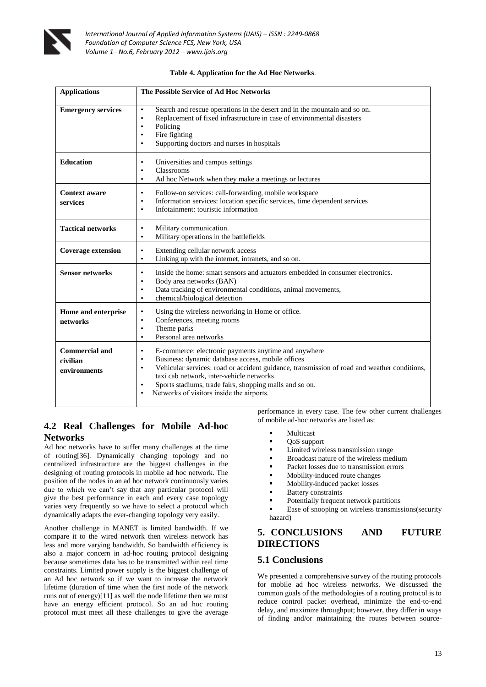

| Table 4. Application for the Ad Hoc Networks. |  |  |
|-----------------------------------------------|--|--|
|-----------------------------------------------|--|--|

| <b>Applications</b>                               | The Possible Service of Ad Hoc Networks                                                                                                                                                                                                                                                                                                                                                                       |
|---------------------------------------------------|---------------------------------------------------------------------------------------------------------------------------------------------------------------------------------------------------------------------------------------------------------------------------------------------------------------------------------------------------------------------------------------------------------------|
| <b>Emergency services</b>                         | Search and rescue operations in the desert and in the mountain and so on.<br>$\bullet$<br>Replacement of fixed infrastructure in case of environmental disasters<br>$\bullet$<br>Policing<br>$\bullet$<br>Fire fighting<br>٠<br>Supporting doctors and nurses in hospitals<br>٠                                                                                                                               |
| <b>Education</b>                                  | Universities and campus settings<br>$\bullet$<br>Classrooms<br>$\bullet$<br>Ad hoc Network when they make a meetings or lectures<br>$\bullet$                                                                                                                                                                                                                                                                 |
| <b>Context aware</b><br>services                  | Follow-on services: call-forwarding, mobile workspace<br>$\bullet$<br>Information services: location specific services, time dependent services<br>٠<br>Infotainment: touristic information<br>$\bullet$                                                                                                                                                                                                      |
| <b>Tactical networks</b>                          | Military communication.<br>$\bullet$<br>Military operations in the battlefields<br>$\bullet$                                                                                                                                                                                                                                                                                                                  |
| <b>Coverage extension</b>                         | Extending cellular network access<br>$\bullet$<br>Linking up with the internet, intranets, and so on.<br>$\bullet$                                                                                                                                                                                                                                                                                            |
| <b>Sensor networks</b>                            | Inside the home: smart sensors and actuators embedded in consumer electronics.<br>$\bullet$<br>Body area networks (BAN)<br>$\bullet$<br>Data tracking of environmental conditions, animal movements,<br>$\bullet$<br>chemical/biological detection<br>$\bullet$                                                                                                                                               |
| Home and enterprise<br>networks                   | Using the wireless networking in Home or office.<br>$\bullet$<br>Conferences, meeting rooms<br>$\bullet$<br>Theme parks<br>$\bullet$<br>Personal area networks<br>$\bullet$                                                                                                                                                                                                                                   |
| <b>Commercial and</b><br>civilian<br>environments | E-commerce: electronic payments anytime and anywhere<br>٠<br>Business: dynamic database access, mobile offices<br>٠<br>Vehicular services: road or accident guidance, transmission of road and weather conditions,<br>$\bullet$<br>taxi cab network, inter-vehicle networks<br>Sports stadiums, trade fairs, shopping malls and so on.<br>$\bullet$<br>Networks of visitors inside the airports.<br>$\bullet$ |

# **4.2 Real Challenges for Mobile Ad-hoc Networks**

Ad hoc networks have to suffer many challenges at the time of routing[36]. Dynamically changing topology and no centralized infrastructure are the biggest challenges in the designing of routing protocols in mobile ad hoc network. The position of the nodes in an ad hoc network continuously varies due to which we can't say that any particular protocol will give the best performance in each and every case topology varies very frequently so we have to select a protocol which dynamically adapts the ever-changing topology very easily.

Another challenge in MANET is limited bandwidth. If we compare it to the wired network then wireless network has less and more varying bandwidth. So bandwidth efficiency is also a major concern in ad-hoc routing protocol designing because sometimes data has to be transmitted within real time constraints. Limited power supply is the biggest challenge of an Ad hoc network so if we want to increase the network lifetime (duration of time when the first node of the network runs out of energy)[11] as well the node lifetime then we must have an energy efficient protocol. So an ad hoc routing protocol must meet all these challenges to give the average

performance in every case. The few other current challenges of mobile ad-hoc networks are listed as:

- Multicast
- QoS support
- **Limited wireless transmission range**
- Broadcast nature of the wireless medium
- Packet losses due to transmission errors
- Mobility-induced route changes
- Mobility-induced packet losses
- Battery constraints
- Potentially frequent network partitions
- Ease of snooping on wireless transmissions(security hazard)

## **5. CONCLUSIONS AND FUTURE DIRECTIONS**

## **5.1 Conclusions**

We presented a comprehensive survey of the routing protocols for mobile ad hoc wireless networks. We discussed the common goals of the methodologies of a routing protocol is to reduce control packet overhead, minimize the end-to-end delay, and maximize throughput; however, they differ in ways of finding and/or maintaining the routes between source-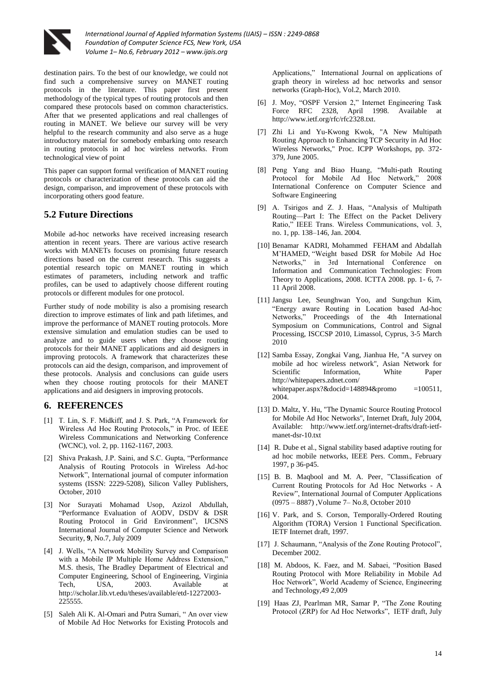

destination pairs. To the best of our knowledge, we could not find such a comprehensive survey on MANET routing protocols in the literature. This paper first present methodology of the typical types of routing protocols and then compared these protocols based on common characteristics. After that we presented applications and real challenges of routing in MANET. We believe our survey will be very helpful to the research community and also serve as a huge introductory material for somebody embarking onto research in routing protocols in ad hoc wireless networks. From technological view of point

This paper can support formal verification of MANET routing protocols or characterization of these protocols can aid the design, comparison, and improvement of these protocols with incorporating others good feature.

## **5.2 Future Directions**

Mobile ad-hoc networks have received increasing research attention in recent years. There are various active research works with MANETs focuses on promising future research directions based on the current research. This suggests a potential research topic on MANET routing in which estimates of parameters, including network and traffic profiles, can be used to adaptively choose different routing protocols or different modules for one protocol.

Further study of node mobility is also a promising research direction to improve estimates of link and path lifetimes, and improve the performance of MANET routing protocols. More extensive simulation and emulation studies can be used to analyze and to guide users when they choose routing protocols for their MANET applications and aid designers in improving protocols. A framework that characterizes these protocols can aid the design, comparison, and improvement of these protocols. Analysis and conclusions can guide users when they choose routing protocols for their MANET applications and aid designers in improving protocols.

## **6. REFERENCES**

- [1] T. Lin, S. F. Midkiff, and J. S. Park, "A Framework for Wireless Ad Hoc Routing Protocols," in Proc. of IEEE Wireless Communications and Networking Conference (WCNC), vol. 2, pp. 1162-1167, 2003.
- [2] Shiva Prakash, J.P. Saini, and S.C. Gupta, "Performance Analysis of Routing Protocols in Wireless Ad-hoc Network", International journal of computer information systems (ISSN: 2229-5208), Silicon Valley Publishers, October, 2010
- [3] Nor Surayati Mohamad Usop, Azizol Abdullah, "Performance Evaluation of AODV, DSDV & DSR Routing Protocol in Grid Environment", IJCSNS International Journal of Computer Science and Network Security, **9**, No.7, July 2009
- [4] J. Wells, "A Network Mobility Survey and Comparison with a Mobile IP Multiple Home Address Extension." M.S. thesis, The Bradley Department of Electrical and Computer Engineering, School of Engineering, Virginia Tech, USA, 2003. Available at [http://scholar.lib.vt.edu/theses/available/etd-12272003-](http://scholar.lib.vt.edu/theses/available/etd-12272003-225555) [225555.](http://scholar.lib.vt.edu/theses/available/etd-12272003-225555)
- [5] Saleh Ali K. Al-Omari and Putra Sumari, "An over view of Mobile Ad Hoc Networks for Existing Protocols and

Applications," International Journal on applications of graph theory in wireless ad hoc networks and sensor networks (Graph-Hoc), Vol.2, March 2010.

- [6] J. Moy, "OSPF Version 2," Internet Engineering Task Force RFC 2328, April 1998. Available at [http://www.ietf.org/rfc/rfc2328.txt.](http://www.ietf.org/rfc/rfc2328.txt)
- [7] Zhi Li and Yu-Kwong Kwok, "A New Multipath Routing Approach to Enhancing TCP Security in Ad Hoc Wireless Networks," Proc. ICPP Workshops, pp. 372- 379, June 2005.
- [8] Peng Yang and Biao Huang, "Multi-path Routing Protocol for Mobile Ad Hoc Network," 2008 International Conference on Computer Science and Software Engineering
- [9] A. Tsirigos and Z. J. Haas, "Analysis of Multipath Routing—Part I: The Effect on the Packet Delivery Ratio," IEEE Trans. Wireless Communications, vol. 3, no. 1, pp. 138–146, Jan. 2004.
- [10] Benamar KADRI, Mohammed FEHAM and Abdallah M'HAMED, "Weight based DSR for Mobile Ad Hoc Networks," in 3rd International Conference on Information and Communication Technologies: From Theory to Applications, 2008. ICTTA 2008. pp. 1- 6, 7- 11 April 2008.
- [11] Jangsu Lee, Seunghwan Yoo, and Sungchun Kim, ―Energy aware Routing in Location based Ad-hoc Networks,‖ Proceedings of the 4th International Symposium on Communications, Control and Signal Processing, ISCCSP 2010, Limassol, Cyprus, 3-5 March 2010
- [12] Samba Essay, Zongkai Vang, Jianhua He, "A survey on mobile ad hoc wireless network", Asian Network for<br>Scientific Information. White Paper Scientific Information, White Paper [http://whitepapers.zdnet.com/](http://whitepapers.zdnet.com/%20whitepaper.aspx?&docid=148894&promo)  [whitepaper.aspx?&docid=148894&promo](http://whitepapers.zdnet.com/%20whitepaper.aspx?&docid=148894&promo) =100511, 2004.
- [13] D. Maltz, Y. Hu, "The Dynamic Source Routing Protocol for Mobile Ad Hoc Networks", Internet Draft, July 2004, Available: http://www.ietf.org/internet-drafts/draft-ietfmanet-dsr-10.txt
- [14] R. Dube et al., Signal stability based adaptive routing for ad hoc mobile networks, IEEE Pers. Comm., February 1997, p 36-p45.
- [15] B. B. Maqbool and M. A. Peer, "Classification of Current Routing Protocols for Ad Hoc Networks - A Review", International Journal of Computer Applications (0975 – 8887) ,Volume 7– No.8, October 2010
- [16] V. Park, and S. Corson, Temporally-Ordered Routing Algorithm (TORA) Version 1 Functional Specification. IETF Internet draft, 1997.
- [17] J. Schaumann, "Analysis of the Zone Routing Protocol", December 2002.
- [18] M. Abdoos, K. Faez, and M. Sabaei, "Position Based Routing Protocol with More Reliability in Mobile Ad Hoc Network", World Academy of Science, Engineering and Technology,49 2,009
- [19] Haas ZJ, Pearlman MR, Samar P, "The Zone Routing Protocol (ZRP) for Ad Hoc Networks", IETF draft, July